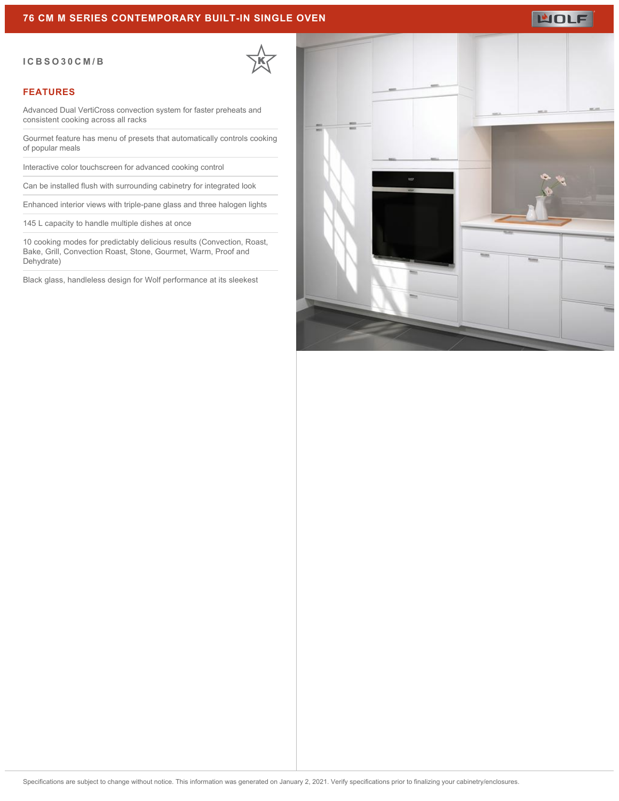### **76 CM M SERIES CONTEMPORARY BUILT-IN SINGLE OVEN**

#### **ICBSO30CM/B**

#### **FEATURES**

Advanced Dual VertiCross convection system for faster preheats and consistent cooking across all racks

Gourmet feature has menu of presets that automatically controls cooking of popular meals

Interactive color touchscreen for advanced cooking control

Can be installed flush with surrounding cabinetry for integrated look

Enhanced interior views with triple-pane glass and three halogen lights

145 L capacity to handle multiple dishes at once

10 cooking modes for predictably delicious results (Convection, Roast, Bake, Grill, Convection Roast, Stone, Gourmet, Warm, Proof and Dehydrate)

Black glass, handleless design for Wolf performance at its sleekest